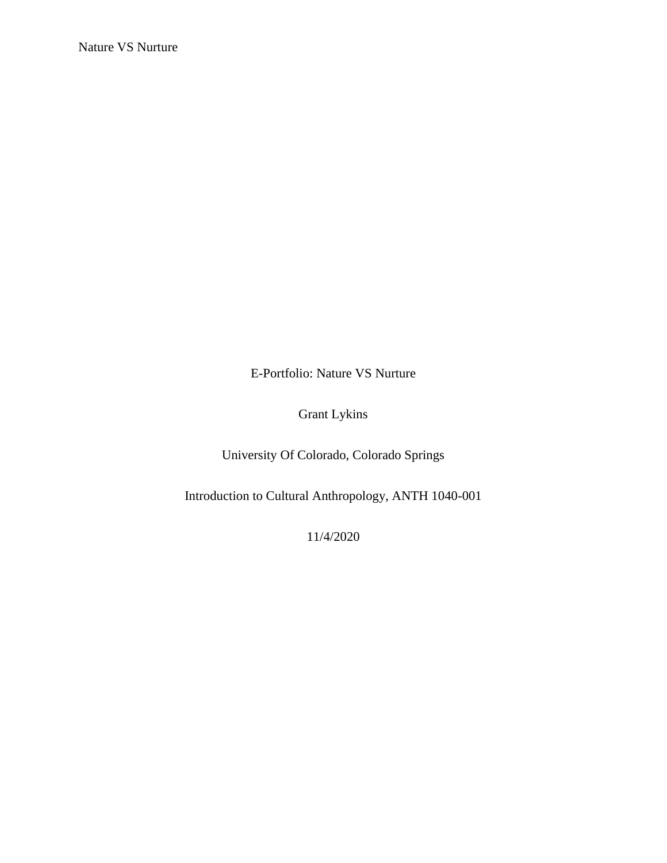E-Portfolio: Nature VS Nurture

Grant Lykins

University Of Colorado, Colorado Springs

Introduction to Cultural Anthropology, ANTH 1040-001

11/4/2020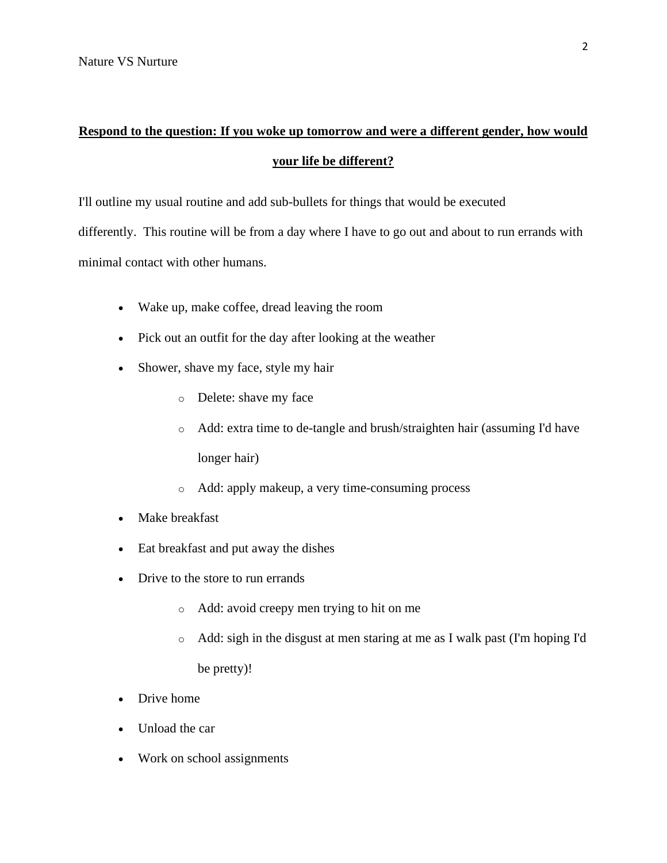## **Respond to the question: If you woke up tomorrow and were a different gender, how would your life be different?**

I'll outline my usual routine and add sub-bullets for things that would be executed differently. This routine will be from a day where I have to go out and about to run errands with minimal contact with other humans.

- Wake up, make coffee, dread leaving the room
- Pick out an outfit for the day after looking at the weather
- Shower, shave my face, style my hair
	- o Delete: shave my face
	- o Add: extra time to de-tangle and brush/straighten hair (assuming I'd have longer hair)
	- o Add: apply makeup, a very time-consuming process
- Make breakfast
- Eat breakfast and put away the dishes
- Drive to the store to run errands
	- o Add: avoid creepy men trying to hit on me
	- o Add: sigh in the disgust at men staring at me as I walk past (I'm hoping I'd be pretty)!
- Drive home
- Unload the car
- Work on school assignments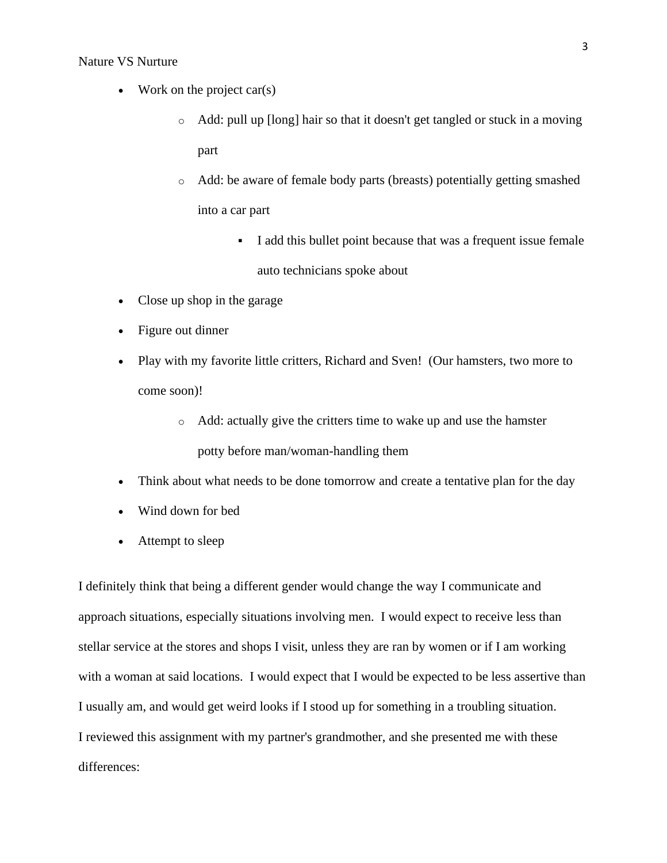## Nature VS Nurture

- Work on the project car(s)
	- o Add: pull up [long] hair so that it doesn't get tangled or stuck in a moving part
	- o Add: be aware of female body parts (breasts) potentially getting smashed into a car part
		- I add this bullet point because that was a frequent issue female auto technicians spoke about
- Close up shop in the garage
- Figure out dinner
- Play with my favorite little critters, Richard and Sven! (Our hamsters, two more to come soon)!
	- o Add: actually give the critters time to wake up and use the hamster potty before man/woman-handling them
- Think about what needs to be done tomorrow and create a tentative plan for the day
- Wind down for bed
- Attempt to sleep

I definitely think that being a different gender would change the way I communicate and approach situations, especially situations involving men. I would expect to receive less than stellar service at the stores and shops I visit, unless they are ran by women or if I am working with a woman at said locations. I would expect that I would be expected to be less assertive than I usually am, and would get weird looks if I stood up for something in a troubling situation. I reviewed this assignment with my partner's grandmother, and she presented me with these differences: